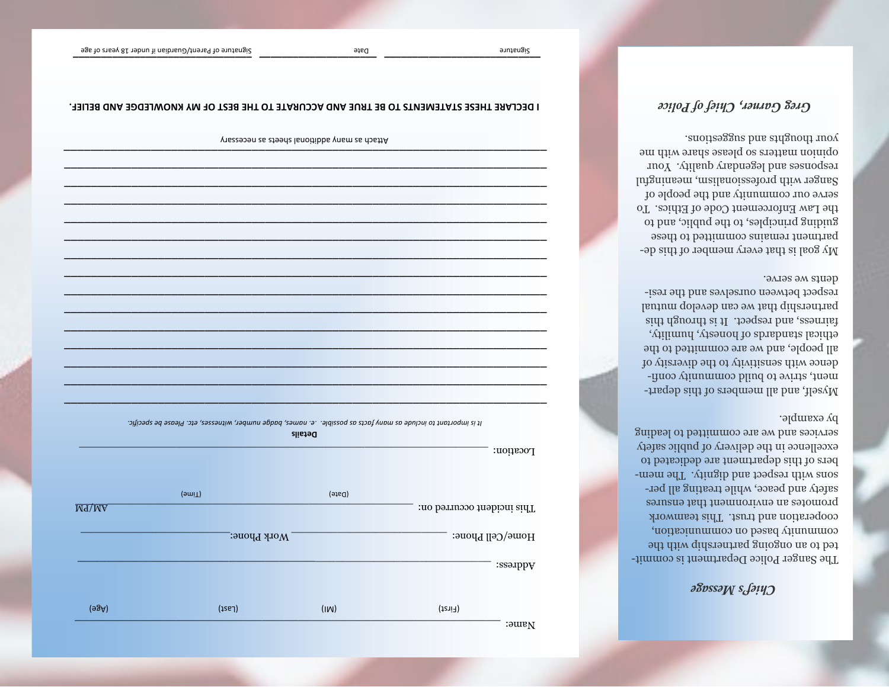# SossaM s<sup>J914</sup>

by example. services and we are committed to leading excellence in the delivery of public safety bers of this department are dedicated to sons with respect and dignity. The memsafety and peace, while treating all perpromotes an environment that ensures cooperation and trust. This teamwork community based on communication, bed to an ongoing partnership with the The Sanger Police Department is commit-

.9VI98 9W 8fm9b respect between ourselves and the resipartnership that we can develop mutual aid haguo al respect. It is through this ethical standards of honesty, humility, all people, and we are committed to the To viteravib and vivitizing the diversity of ment, strive to build community confi-Myself, and all members of this depart-

.anoite>sgue bns anggont moy opinion matters so please share with me responses and legendary quality. Your Sanger with professionalism, meaningful serve our community and the people of the Law Enforcement Code of Ethics. To guiding principles, to the public, and to partment remains committed to these Ny goal is that every member of this de-

## Greg Garner, Chief of Police

|                    | Pt is important to include as mony facts as possible. Le names, badge number, witnesses, etc. Please be specific. | Details |                            |
|--------------------|-------------------------------------------------------------------------------------------------------------------|---------|----------------------------|
|                    |                                                                                                                   |         | Location:                  |
|                    | (9miT)                                                                                                            | (9160)  |                            |
| M <sub>4</sub> /MA |                                                                                                                   |         | This incident occurred on: |
|                    | Work Phone:                                                                                                       |         | Home/Cell Phone:           |
|                    |                                                                                                                   |         | :ssərbbA                   |
| (98A)              | $($ 1921)                                                                                                         | (IM)    | $(f\text{crit})$           |

I DECLARE THESE STATEMENTS TO BE TRUE AND ACCURATE TO THE BEST OF MY KNOWLEDGE AND BELIEF.

Ansees on as a then also languibba ynam as doatt A

Date

Signature

 $: \mathfrak{g}$  and  $\mathfrak{g}$ 

Signature of Parent/Guardian if under 18 years of age